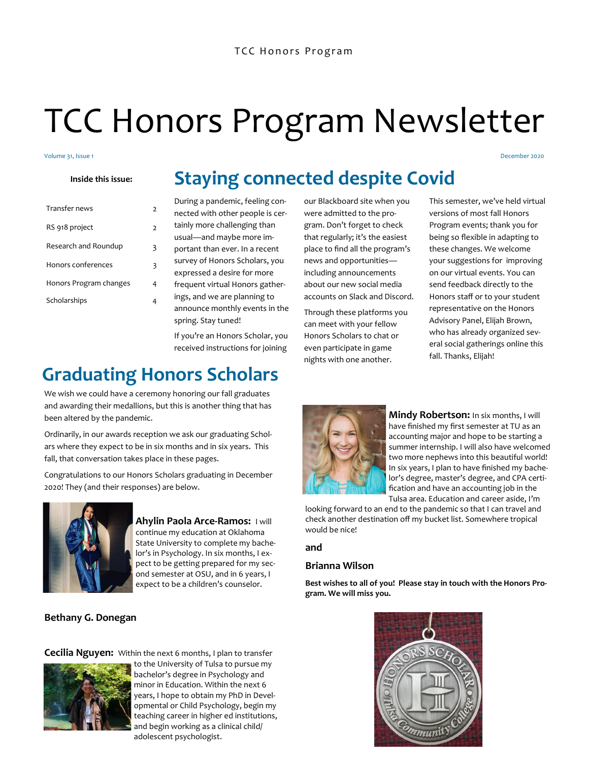# TCC Honors Program Newsletter

#### Volume 31, Issue 1

### **Inside this issue:**

| Transfer news          | 2 |
|------------------------|---|
| RS 918 project         | 2 |
| Research and Roundup   | 3 |
| Honors conferences     | 3 |
| Honors Program changes | 4 |
| Scholarships           |   |
|                        |   |

# **Staying connected despite Covid**

During a pandemic, feeling connected with other people is certainly more challenging than usual—and maybe more important than ever. In a recent survey of Honors Scholars, you expressed a desire for more frequent virtual Honors gatherings, and we are planning to announce monthly events in the spring. Stay tuned!

If you're an Honors Scholar, you received instructions for joining

# **Graduating Honors Scholars**

We wish we could have a ceremony honoring our fall graduates and awarding their medallions, but this is another thing that has been altered by the pandemic.

Ordinarily, in our awards reception we ask our graduating Scholars where they expect to be in six months and in six years. This fall, that conversation takes place in these pages.

Congratulations to our Honors Scholars graduating in December 2020! They (and their responses) are below.



**Ahylin Paola Arce-Ramos:** I will continue my education at Oklahoma State University to complete my bachelor's in Psychology. In six months, I expect to be getting prepared for my second semester at OSU, and in 6 years, I expect to be a children's counselor.

### **Bethany G. Donegan**

**Cecilia Nguyen:** Within the next 6 months, I plan to transfer



to the University of Tulsa to pursue my bachelor's degree in Psychology and minor in Education. Within the next 6 years, I hope to obtain my PhD in Developmental or Child Psychology, begin my teaching career in higher ed institutions, and begin working as a clinical child/ adolescent psychologist.

our Blackboard site when you were admitted to the program. Don't forget to check that regularly; it's the easiest place to find all the program's news and opportunities including announcements about our new social media accounts on Slack and Discord.

Through these platforms you can meet with your fellow Honors Scholars to chat or even participate in game nights with one another.

This semester, we've held virtual versions of most fall Honors Program events; thank you for being so flexible in adapting to these changes. We welcome your suggestions for improving on our virtual events. You can send feedback directly to the Honors staff or to your student representative on the Honors Advisory Panel, Elijah Brown, who has already organized several social gatherings online this fall. Thanks, Elijah!

December 2020



**Mindy Robertson:** In six months, I will have finished my first semester at TU as an accounting major and hope to be starting a summer internship. I will also have welcomed two more nephews into this beautiful world! In six years, I plan to have finished my bachelor's degree, master's degree, and CPA certification and have an accounting job in the Tulsa area. Education and career aside, I'm

looking forward to an end to the pandemic so that I can travel and check another destination off my bucket list. Somewhere tropical would be nice!

#### **and**

### **Brianna Wilson**

**Best wishes to all of you! Please stay in touch with the Honors Program. We will miss you.**

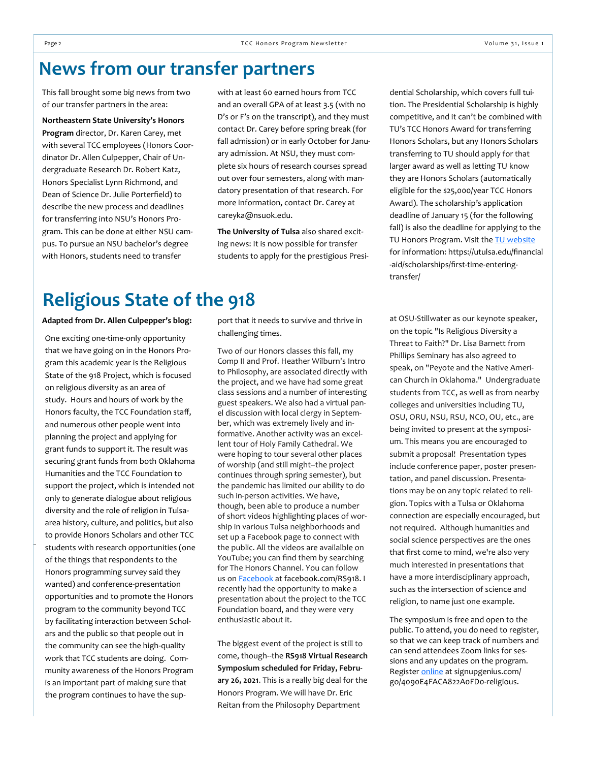# **News from our transfer partners**

This fall brought some big news from two of our transfer partners in the area:

**Northeastern State University's Honors Program** director, Dr. Karen Carey, met with several TCC employees (Honors Coordinator Dr. Allen Culpepper, Chair of Undergraduate Research Dr. Robert Katz, Honors Specialist Lynn Richmond, and Dean of Science Dr. Julie Porterfield) to describe the new process and deadlines for transferring into NSU's Honors Program. This can be done at either NSU campus. To pursue an NSU bachelor's degree with Honors, students need to transfer

with at least 60 earned hours from TCC and an overall GPA of at least 3.5 (with no D's or F's on the transcript), and they must contact Dr. Carey before spring break (for fall admission) or in early October for January admission. At NSU, they must complete six hours of research courses spread out over four semesters, along with mandatory presentation of that research. For more information, contact Dr. Carey at careyka@nsuok.edu.

**The University of Tulsa** also shared exciting news: It is now possible for transfer students to apply for the prestigious Presi-

### **Religious State of the 918**

**Adapted from Dr. Allen Culpepper's blog:**

One exciting one-time-only opportunity that we have going on in the Honors Program this academic year is the Religious State of the 918 Project, which is focused on religious diversity as an area of study. Hours and hours of work by the Honors faculty, the TCC Foundation staff, and numerous other people went into planning the project and applying for grant funds to support it. The result was securing grant funds from both Oklahoma Humanities and the TCC Foundation to support the project, which is intended not only to generate dialogue about religious diversity and the role of religion in Tulsaarea history, culture, and politics, but also to provide Honors Scholars and other TCC students with research opportunities (one of the things that respondents to the Honors programming survey said they wanted) and conference-presentation opportunities and to promote the Honors program to the community beyond TCC by facilitating interaction between Scholars and the public so that people out in the community can see the high-quality work that TCC students are doing. Community awareness of the Honors Program is an important part of making sure that the program continues to have the support that it needs to survive and thrive in challenging times.

Two of our Honors classes this fall, my Comp II and Prof. Heather Wilburn's Intro to Philosophy, are associated directly with the project, and we have had some great class sessions and a number of interesting guest speakers. We also had a virtual panel discussion with local clergy in September, which was extremely lively and informative. Another activity was an excellent tour of Holy Family Cathedral. We were hoping to tour several other places of worship (and still might--the project continues through spring semester), but the pandemic has limited our ability to do such in-person activities. We have, though, been able to produce a number of short videos highlighting places of worship in various Tulsa neighborhoods and set up a Facebook page to connect with the public. All the videos are availalble on YouTube; you can find them by searching for The Honors Channel. You can follow us on **Facebook** at facebook.com/RS918. I recently had the opportunity to make a presentation about the project to the TCC Foundation board, and they were very enthusiastic about it.

The biggest event of the project is still to come, though--the **RS918 Virtual Research Symposium scheduled for Friday, February 26, 2021**. This is a really big deal for the Honors Program. We will have Dr. Eric Reitan from the Philosophy Department

dential Scholarship, which covers full tuition. The Presidential Scholarship is highly competitive, and it can't be combined with TU's TCC Honors Award for transferring Honors Scholars, but any Honors Scholars transferring to TU should apply for that larger award as well as letting TU know they are Honors Scholars (automatically eligible for the \$25,000/year TCC Honors Award). The scholarship's application deadline of January 15 (for the following fall) is also the deadline for applying to the TU Honors Program. Visit the [TU website](https://utulsa.edu/financial-aid/scholarships/first-time-entering-transfer/) for information: https://utulsa.edu/financial -aid/scholarships/first-time-enteringtransfer/

at OSU-Stillwater as our keynote speaker, on the topic "Is Religious Diversity a Threat to Faith?" Dr. Lisa Barnett from Phillips Seminary has also agreed to speak, on "Peyote and the Native American Church in Oklahoma." Undergraduate students from TCC, as well as from nearby colleges and universities including TU, OSU, ORU, NSU, RSU, NCO, OU, etc., are being invited to present at the symposium. This means you are encouraged to submit a proposal! Presentation types include conference paper, poster presentation, and panel discussion. Presentations may be on any topic related to religion. Topics with a Tulsa or Oklahoma connection are especially encouraged, but not required. Although humanities and social science perspectives are the ones that first come to mind, we're also very much interested in presentations that have a more interdisciplinary approach, such as the intersection of science and religion, to name just one example.

The symposium is free and open to the public. To attend, you do need to register, so that we can keep track of numbers and can send attendees Zoom links for sessions and any updates on the program. Register [online](https://www.signupgenius.com/go/4090E4FACA822A0FD0-religious) at signupgenius.com/ go/4090E4FACA822A0FD0-religious.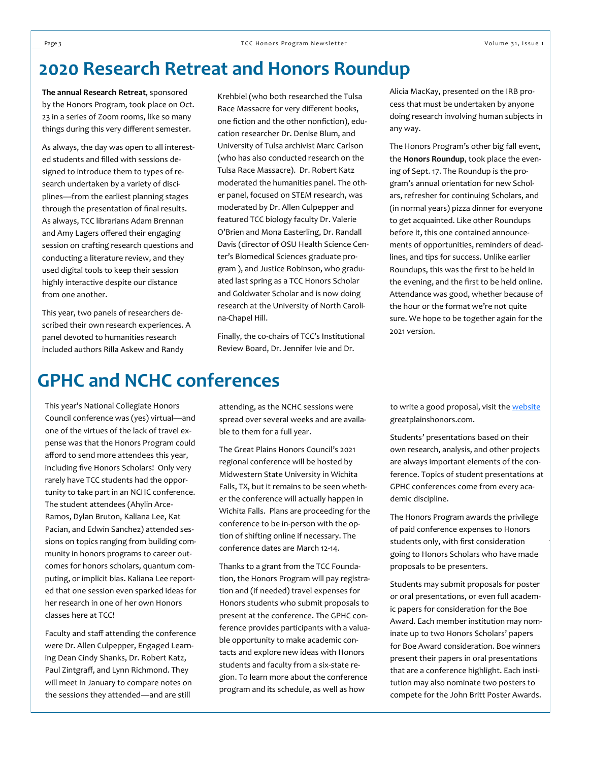# **2020 Research Retreat and Honors Roundup**

**The annual Research Retreat**, sponsored by the Honors Program, took place on Oct. 23 in a series of Zoom rooms, like so many things during this very different semester.

As always, the day was open to all interested students and filled with sessions designed to introduce them to types of research undertaken by a variety of disciplines—from the earliest planning stages through the presentation of final results. As always, TCC librarians Adam Brennan and Amy Lagers offered their engaging session on crafting research questions and conducting a literature review, and they used digital tools to keep their session highly interactive despite our distance from one another.

This year, two panels of researchers described their own research experiences. A panel devoted to humanities research included authors Rilla Askew and Randy

Krehbiel (who both researched the Tulsa Race Massacre for very different books, one fiction and the other nonfiction), education researcher Dr. Denise Blum, and University of Tulsa archivist Marc Carlson (who has also conducted research on the Tulsa Race Massacre). Dr. Robert Katz moderated the humanities panel. The other panel, focused on STEM research, was moderated by Dr. Allen Culpepper and featured TCC biology faculty Dr. Valerie O'Brien and Mona Easterling, Dr. Randall Davis (director of OSU Health Science Center's Biomedical Sciences graduate program ), and Justice Robinson, who graduated last spring as a TCC Honors Scholar and Goldwater Scholar and is now doing research at the University of North Carolina-Chapel Hill.

Finally, the co-chairs of TCC's Institutional Review Board, Dr. Jennifer Ivie and Dr.

Alicia MacKay, presented on the IRB process that must be undertaken by anyone doing research involving human subjects in any way.

The Honors Program's other big fall event, the **Honors Roundup**, took place the evening of Sept. 17. The Roundup is the program's annual orientation for new Scholars, refresher for continuing Scholars, and (in normal years) pizza dinner for everyone to get acquainted. Like other Roundups before it, this one contained announcements of opportunities, reminders of deadlines, and tips for success. Unlike earlier Roundups, this was the first to be held in the evening, and the first to be held online. Attendance was good, whether because of the hour or the format we're not quite sure. We hope to be together again for the 2021 version.

# **GPHC and NCHC conferences**

This year's National Collegiate Honors Council conference was (yes) virtual—and one of the virtues of the lack of travel expense was that the Honors Program could afford to send more attendees this year, including five Honors Scholars! Only very rarely have TCC students had the opportunity to take part in an NCHC conference. The student attendees (Ahylin Arce-Ramos, Dylan Bruton, Kaliana Lee, Kat Pacian, and Edwin Sanchez) attended sessions on topics ranging from building community in honors programs to career outcomes for honors scholars, quantum computing, or implicit bias. Kaliana Lee reported that one session even sparked ideas for her research in one of her own Honors classes here at TCC!

Faculty and staff attending the conference were Dr. Allen Culpepper, Engaged Learning Dean Cindy Shanks, Dr. Robert Katz, Paul Zintgraff, and Lynn Richmond. They will meet in January to compare notes on the sessions they attended—and are still

attending, as the NCHC sessions were spread over several weeks and are available to them for a full year.

The Great Plains Honors Council's 2021 regional conference will be hosted by Midwestern State University in Wichita Falls, TX, but it remains to be seen whether the conference will actually happen in Wichita Falls. Plans are proceeding for the conference to be in-person with the option of shifting online if necessary. The conference dates are March 12-14.

Thanks to a grant from the TCC Foundation, the Honors Program will pay registration and (if needed) travel expenses for Honors students who submit proposals to present at the conference. The GPHC conference provides participants with a valuable opportunity to make academic contacts and explore new ideas with Honors students and faculty from a six-state region. To learn more about the conference program and its schedule, as well as how

to write a good proposal, visit the [website](https://www.greatplainshonors.com) greatplainshonors.com.

Students' presentations based on their own research, analysis, and other projects are always important elements of the conference. Topics of student presentations at GPHC conferences come from every academic discipline.

The Honors Program awards the privilege of paid conference expenses to Honors students only, with first consideration going to Honors Scholars who have made proposals to be presenters.

Students may submit proposals for poster or oral presentations, or even full academic papers for consideration for the Boe Award. Each member institution may nominate up to two Honors Scholars' papers for Boe Award consideration. Boe winners present their papers in oral presentations that are a conference highlight. Each institution may also nominate two posters to compete for the John Britt Poster Awards.